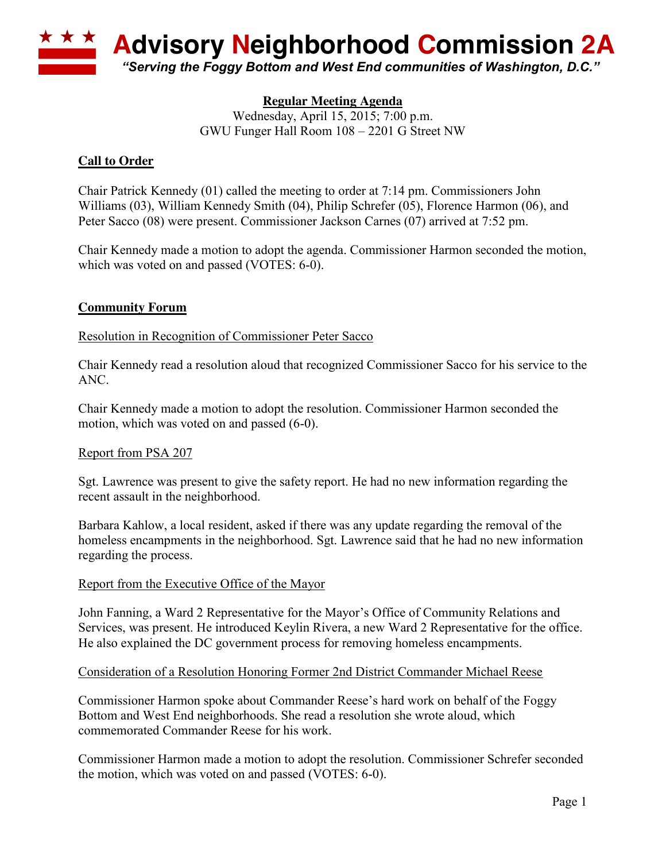

# **Regular Meeting Agenda**

Wednesday, April 15, 2015; 7:00 p.m. GWU Funger Hall Room 108 – 2201 G Street NW

# **Call to Order**

Chair Patrick Kennedy (01) called the meeting to order at 7:14 pm. Commissioners John Williams (03), William Kennedy Smith (04), Philip Schrefer (05), Florence Harmon (06), and Peter Sacco (08) were present. Commissioner Jackson Carnes (07) arrived at 7:52 pm.

Chair Kennedy made a motion to adopt the agenda. Commissioner Harmon seconded the motion, which was voted on and passed (VOTES: 6-0).

# **Community Forum**

Resolution in Recognition of Commissioner Peter Sacco

Chair Kennedy read a resolution aloud that recognized Commissioner Sacco for his service to the ANC.

Chair Kennedy made a motion to adopt the resolution. Commissioner Harmon seconded the motion, which was voted on and passed (6-0).

### Report from PSA 207

Sgt. Lawrence was present to give the safety report. He had no new information regarding the recent assault in the neighborhood.

Barbara Kahlow, a local resident, asked if there was any update regarding the removal of the homeless encampments in the neighborhood. Sgt. Lawrence said that he had no new information regarding the process.

### Report from the Executive Office of the Mayor

John Fanning, a Ward 2 Representative for the Mayor's Office of Community Relations and Services, was present. He introduced Keylin Rivera, a new Ward 2 Representative for the office. He also explained the DC government process for removing homeless encampments.

### Consideration of a Resolution Honoring Former 2nd District Commander Michael Reese

Commissioner Harmon spoke about Commander Reese's hard work on behalf of the Foggy Bottom and West End neighborhoods. She read a resolution she wrote aloud, which commemorated Commander Reese for his work.

Commissioner Harmon made a motion to adopt the resolution. Commissioner Schrefer seconded the motion, which was voted on and passed (VOTES: 6-0).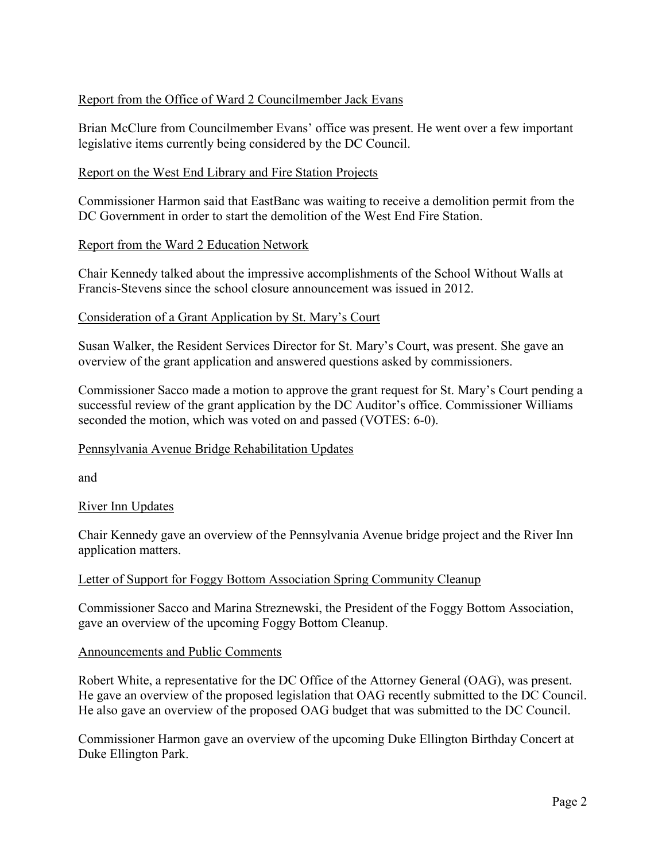### Report from the Office of Ward 2 Councilmember Jack Evans

Brian McClure from Councilmember Evans' office was present. He went over a few important legislative items currently being considered by the DC Council.

### Report on the West End Library and Fire Station Projects

Commissioner Harmon said that EastBanc was waiting to receive a demolition permit from the DC Government in order to start the demolition of the West End Fire Station.

#### Report from the Ward 2 Education Network

Chair Kennedy talked about the impressive accomplishments of the School Without Walls at Francis-Stevens since the school closure announcement was issued in 2012.

#### Consideration of a Grant Application by St. Mary's Court

Susan Walker, the Resident Services Director for St. Mary's Court, was present. She gave an overview of the grant application and answered questions asked by commissioners.

Commissioner Sacco made a motion to approve the grant request for St. Mary's Court pending a successful review of the grant application by the DC Auditor's office. Commissioner Williams seconded the motion, which was voted on and passed (VOTES: 6-0).

### Pennsylvania Avenue Bridge Rehabilitation Updates

and

#### River Inn Updates

Chair Kennedy gave an overview of the Pennsylvania Avenue bridge project and the River Inn application matters.

#### Letter of Support for Foggy Bottom Association Spring Community Cleanup

Commissioner Sacco and Marina Streznewski, the President of the Foggy Bottom Association, gave an overview of the upcoming Foggy Bottom Cleanup.

#### Announcements and Public Comments

Robert White, a representative for the DC Office of the Attorney General (OAG), was present. He gave an overview of the proposed legislation that OAG recently submitted to the DC Council. He also gave an overview of the proposed OAG budget that was submitted to the DC Council.

Commissioner Harmon gave an overview of the upcoming Duke Ellington Birthday Concert at Duke Ellington Park.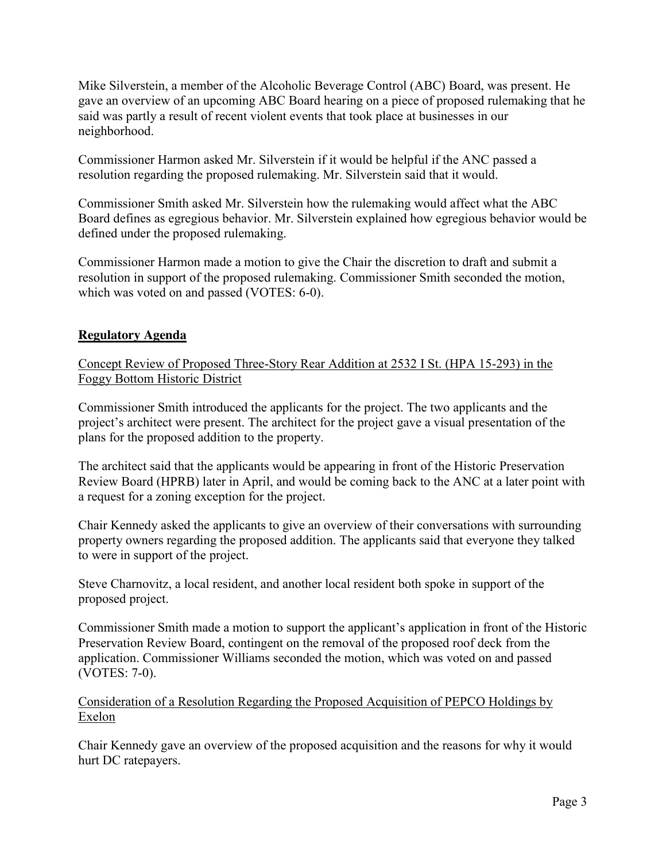Mike Silverstein, a member of the Alcoholic Beverage Control (ABC) Board, was present. He gave an overview of an upcoming ABC Board hearing on a piece of proposed rulemaking that he said was partly a result of recent violent events that took place at businesses in our neighborhood.

Commissioner Harmon asked Mr. Silverstein if it would be helpful if the ANC passed a resolution regarding the proposed rulemaking. Mr. Silverstein said that it would.

Commissioner Smith asked Mr. Silverstein how the rulemaking would affect what the ABC Board defines as egregious behavior. Mr. Silverstein explained how egregious behavior would be defined under the proposed rulemaking.

Commissioner Harmon made a motion to give the Chair the discretion to draft and submit a resolution in support of the proposed rulemaking. Commissioner Smith seconded the motion, which was voted on and passed (VOTES: 6-0).

# **Regulatory Agenda**

Concept Review of Proposed Three-Story Rear Addition at 2532 I St. (HPA 15-293) in the Foggy Bottom Historic District

Commissioner Smith introduced the applicants for the project. The two applicants and the project's architect were present. The architect for the project gave a visual presentation of the plans for the proposed addition to the property.

The architect said that the applicants would be appearing in front of the Historic Preservation Review Board (HPRB) later in April, and would be coming back to the ANC at a later point with a request for a zoning exception for the project.

Chair Kennedy asked the applicants to give an overview of their conversations with surrounding property owners regarding the proposed addition. The applicants said that everyone they talked to were in support of the project.

Steve Charnovitz, a local resident, and another local resident both spoke in support of the proposed project.

Commissioner Smith made a motion to support the applicant's application in front of the Historic Preservation Review Board, contingent on the removal of the proposed roof deck from the application. Commissioner Williams seconded the motion, which was voted on and passed (VOTES: 7-0).

Consideration of a Resolution Regarding the Proposed Acquisition of PEPCO Holdings by Exelon

Chair Kennedy gave an overview of the proposed acquisition and the reasons for why it would hurt DC ratepayers.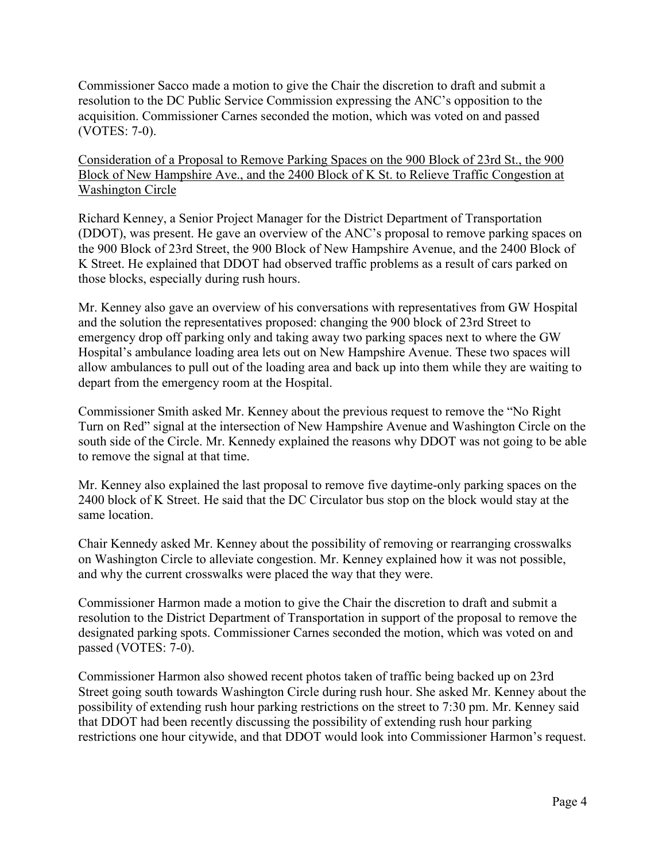Commissioner Sacco made a motion to give the Chair the discretion to draft and submit a resolution to the DC Public Service Commission expressing the ANC's opposition to the acquisition. Commissioner Carnes seconded the motion, which was voted on and passed (VOTES: 7-0).

Consideration of a Proposal to Remove Parking Spaces on the 900 Block of 23rd St., the 900 Block of New Hampshire Ave., and the 2400 Block of K St. to Relieve Traffic Congestion at Washington Circle

Richard Kenney, a Senior Project Manager for the District Department of Transportation (DDOT), was present. He gave an overview of the ANC's proposal to remove parking spaces on the 900 Block of 23rd Street, the 900 Block of New Hampshire Avenue, and the 2400 Block of K Street. He explained that DDOT had observed traffic problems as a result of cars parked on those blocks, especially during rush hours.

Mr. Kenney also gave an overview of his conversations with representatives from GW Hospital and the solution the representatives proposed: changing the 900 block of 23rd Street to emergency drop off parking only and taking away two parking spaces next to where the GW Hospital's ambulance loading area lets out on New Hampshire Avenue. These two spaces will allow ambulances to pull out of the loading area and back up into them while they are waiting to depart from the emergency room at the Hospital.

Commissioner Smith asked Mr. Kenney about the previous request to remove the "No Right Turn on Red" signal at the intersection of New Hampshire Avenue and Washington Circle on the south side of the Circle. Mr. Kennedy explained the reasons why DDOT was not going to be able to remove the signal at that time.

Mr. Kenney also explained the last proposal to remove five daytime-only parking spaces on the 2400 block of K Street. He said that the DC Circulator bus stop on the block would stay at the same location.

Chair Kennedy asked Mr. Kenney about the possibility of removing or rearranging crosswalks on Washington Circle to alleviate congestion. Mr. Kenney explained how it was not possible, and why the current crosswalks were placed the way that they were.

Commissioner Harmon made a motion to give the Chair the discretion to draft and submit a resolution to the District Department of Transportation in support of the proposal to remove the designated parking spots. Commissioner Carnes seconded the motion, which was voted on and passed (VOTES: 7-0).

Commissioner Harmon also showed recent photos taken of traffic being backed up on 23rd Street going south towards Washington Circle during rush hour. She asked Mr. Kenney about the possibility of extending rush hour parking restrictions on the street to 7:30 pm. Mr. Kenney said that DDOT had been recently discussing the possibility of extending rush hour parking restrictions one hour citywide, and that DDOT would look into Commissioner Harmon's request.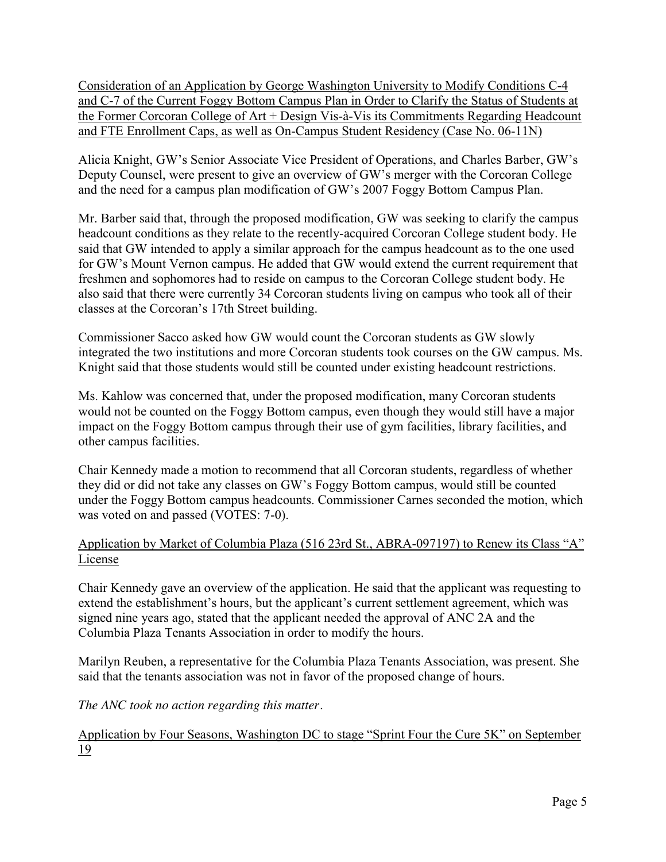Consideration of an Application by George Washington University to Modify Conditions C-4 and C-7 of the Current Foggy Bottom Campus Plan in Order to Clarify the Status of Students at the Former Corcoran College of Art + Design Vis-à-Vis its Commitments Regarding Headcount and FTE Enrollment Caps, as well as On-Campus Student Residency (Case No. 06-11N)

Alicia Knight, GW's Senior Associate Vice President of Operations, and Charles Barber, GW's Deputy Counsel, were present to give an overview of GW's merger with the Corcoran College and the need for a campus plan modification of GW's 2007 Foggy Bottom Campus Plan.

Mr. Barber said that, through the proposed modification, GW was seeking to clarify the campus headcount conditions as they relate to the recently-acquired Corcoran College student body. He said that GW intended to apply a similar approach for the campus headcount as to the one used for GW's Mount Vernon campus. He added that GW would extend the current requirement that freshmen and sophomores had to reside on campus to the Corcoran College student body. He also said that there were currently 34 Corcoran students living on campus who took all of their classes at the Corcoran's 17th Street building.

Commissioner Sacco asked how GW would count the Corcoran students as GW slowly integrated the two institutions and more Corcoran students took courses on the GW campus. Ms. Knight said that those students would still be counted under existing headcount restrictions.

Ms. Kahlow was concerned that, under the proposed modification, many Corcoran students would not be counted on the Foggy Bottom campus, even though they would still have a major impact on the Foggy Bottom campus through their use of gym facilities, library facilities, and other campus facilities.

Chair Kennedy made a motion to recommend that all Corcoran students, regardless of whether they did or did not take any classes on GW's Foggy Bottom campus, would still be counted under the Foggy Bottom campus headcounts. Commissioner Carnes seconded the motion, which was voted on and passed (VOTES: 7-0).

# Application by Market of Columbia Plaza (516 23rd St., ABRA-097197) to Renew its Class "A" License

Chair Kennedy gave an overview of the application. He said that the applicant was requesting to extend the establishment's hours, but the applicant's current settlement agreement, which was signed nine years ago, stated that the applicant needed the approval of ANC 2A and the Columbia Plaza Tenants Association in order to modify the hours.

Marilyn Reuben, a representative for the Columbia Plaza Tenants Association, was present. She said that the tenants association was not in favor of the proposed change of hours.

*The ANC took no action regarding this matter.*

Application by Four Seasons, Washington DC to stage "Sprint Four the Cure 5K" on September 19